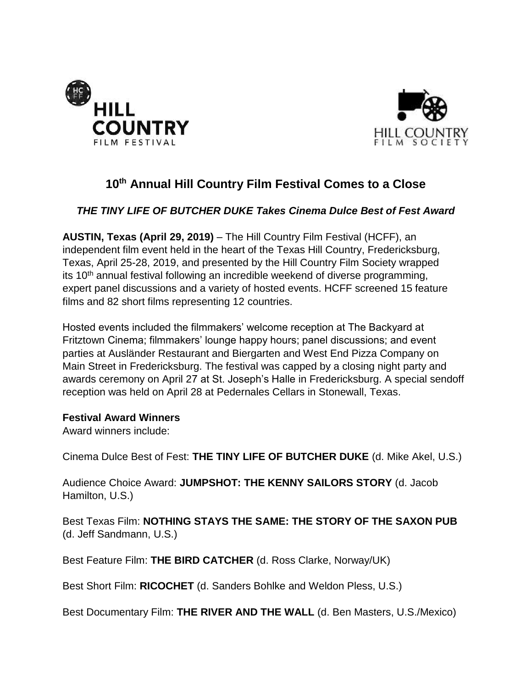



# **10th Annual Hill Country Film Festival Comes to a Close**

# *THE TINY LIFE OF BUTCHER DUKE Takes Cinema Dulce Best of Fest Award*

**AUSTIN, Texas (April 29, 2019)** – The Hill Country Film Festival (HCFF), an independent film event held in the heart of the Texas Hill Country, Fredericksburg, Texas, April 25-28, 2019, and presented by the Hill Country Film Society wrapped its 10<sup>th</sup> annual festival following an incredible weekend of diverse programming, expert panel discussions and a variety of hosted events. HCFF screened 15 feature films and 82 short films representing 12 countries.

Hosted events included the filmmakers' welcome reception at The Backyard at Fritztown Cinema; filmmakers' lounge happy hours; panel discussions; and event parties at Ausländer Restaurant and Biergarten and West End Pizza Company on Main Street in Fredericksburg. The festival was capped by a closing night party and awards ceremony on April 27 at St. Joseph's Halle in Fredericksburg. A special sendoff reception was held on April 28 at Pedernales Cellars in Stonewall, Texas.

#### **Festival Award Winners**

Award winners include:

Cinema Dulce Best of Fest: **THE TINY LIFE OF BUTCHER DUKE** (d. Mike Akel, U.S.)

Audience Choice Award: **JUMPSHOT: THE KENNY SAILORS STORY** (d. Jacob Hamilton, U.S.)

Best Texas Film: **NOTHING STAYS THE SAME: THE STORY OF THE SAXON PUB** (d. Jeff Sandmann, U.S.)

Best Feature Film: **THE BIRD CATCHER** (d. Ross Clarke, Norway/UK)

Best Short Film: **RICOCHET** (d. Sanders Bohlke and Weldon Pless, U.S.)

Best Documentary Film: **THE RIVER AND THE WALL** (d. Ben Masters, U.S./Mexico)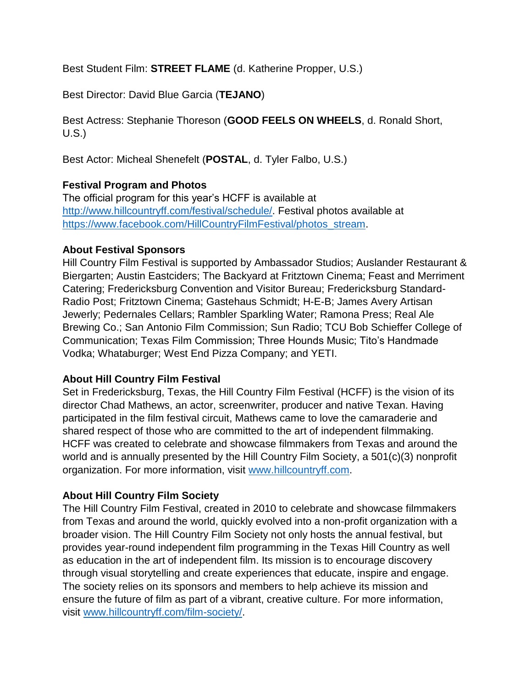Best Student Film: **STREET FLAME** (d. Katherine Propper, U.S.)

Best Director: David Blue Garcia (**TEJANO**)

Best Actress: Stephanie Thoreson (**GOOD FEELS ON WHEELS**, d. Ronald Short, U.S.)

Best Actor: Micheal Shenefelt (**POSTAL**, d. Tyler Falbo, U.S.)

#### **Festival Program and Photos**

The official program for this year's HCFF is available at [http://www.hillcountryff.com/festival/schedule/.](http://www.hillcountryff.com/festival/schedule/) Festival photos available at [https://www.facebook.com/HillCountryFilmFestival/photos\\_stream.](https://www.facebook.com/HillCountryFilmFestival/photos_stream)

#### **About Festival Sponsors**

Hill Country Film Festival is supported by Ambassador Studios; Auslander Restaurant & Biergarten; Austin Eastciders; The Backyard at Fritztown Cinema; Feast and Merriment Catering; Fredericksburg Convention and Visitor Bureau; Fredericksburg Standard-Radio Post; Fritztown Cinema; Gastehaus Schmidt; H-E-B; James Avery Artisan Jewerly; Pedernales Cellars; Rambler Sparkling Water; Ramona Press; Real Ale Brewing Co.; San Antonio Film Commission; Sun Radio; TCU Bob Schieffer College of Communication; Texas Film Commission; Three Hounds Music; Tito's Handmade Vodka; Whataburger; West End Pizza Company; and YETI.

## **About Hill Country Film Festival**

Set in Fredericksburg, Texas, the Hill Country Film Festival (HCFF) is the vision of its director Chad Mathews, an actor, screenwriter, producer and native Texan. Having participated in the film festival circuit, Mathews came to love the camaraderie and shared respect of those who are committed to the art of independent filmmaking. HCFF was created to celebrate and showcase filmmakers from Texas and around the world and is annually presented by the Hill Country Film Society, a 501(c)(3) nonprofit organization. For more information, visit [www.hillcountryff.com.](http://www.hillcountryff.com/)

## **About Hill Country Film Society**

The Hill Country Film Festival, created in 2010 to celebrate and showcase filmmakers from Texas and around the world, quickly evolved into a non-profit organization with a broader vision. The Hill Country Film Society not only hosts the annual festival, but provides year-round independent film programming in the Texas Hill Country as well as education in the art of independent film. Its mission is to encourage discovery through visual storytelling and create experiences that educate, inspire and engage. The society relies on its sponsors and members to help achieve its mission and ensure the future of film as part of a vibrant, creative culture. For more information, visit [www.hillcountryff.com/film-society/.](http://www.hillcountryff.com/film-society/)